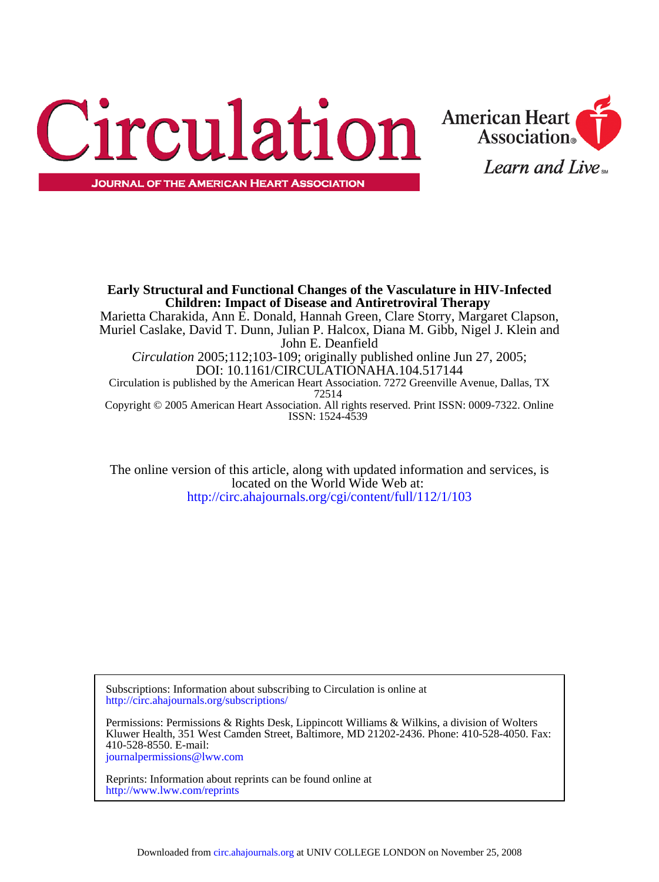



American Heart

**Association**®

Learn and Live

<http://circ.ahajournals.org/cgi/content/full/112/1/103> located on the World Wide Web at: The online version of this article, along with updated information and services, is

<http://circ.ahajournals.org/subscriptions/> Subscriptions: Information about subscribing to Circulation is online at

[journalpermissions@lww.com](mailto:journalpermissions@lww.com) 410-528-8550. E-mail: Kluwer Health, 351 West Camden Street, Baltimore, MD 21202-2436. Phone: 410-528-4050. Fax: Permissions: Permissions & Rights Desk, Lippincott Williams & Wilkins, a division of Wolters

<http://www.lww.com/reprints> Reprints: Information about reprints can be found online at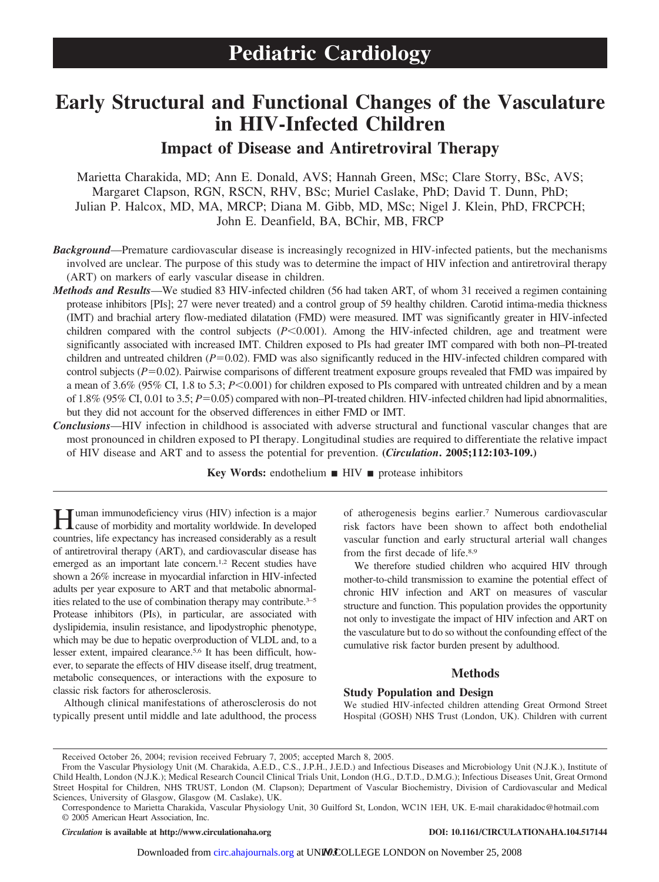# **Early Structural and Functional Changes of the Vasculature in HIV-Infected Children**

**Impact of Disease and Antiretroviral Therapy**

Marietta Charakida, MD; Ann E. Donald, AVS; Hannah Green, MSc; Clare Storry, BSc, AVS; Margaret Clapson, RGN, RSCN, RHV, BSc; Muriel Caslake, PhD; David T. Dunn, PhD; Julian P. Halcox, MD, MA, MRCP; Diana M. Gibb, MD, MSc; Nigel J. Klein, PhD, FRCPCH; John E. Deanfield, BA, BChir, MB, FRCP

- *Background*—Premature cardiovascular disease is increasingly recognized in HIV-infected patients, but the mechanisms involved are unclear. The purpose of this study was to determine the impact of HIV infection and antiretroviral therapy (ART) on markers of early vascular disease in children.
- *Methods and Results*—We studied 83 HIV-infected children (56 had taken ART, of whom 31 received a regimen containing protease inhibitors [PIs]; 27 were never treated) and a control group of 59 healthy children. Carotid intima-media thickness (IMT) and brachial artery flow-mediated dilatation (FMD) were measured. IMT was significantly greater in HIV-infected children compared with the control subjects (*P*<0.001). Among the HIV-infected children, age and treatment were significantly associated with increased IMT. Children exposed to PIs had greater IMT compared with both non–PI-treated children and untreated children  $(P=0.02)$ . FMD was also significantly reduced in the HIV-infected children compared with control subjects  $(P=0.02)$ . Pairwise comparisons of different treatment exposure groups revealed that FMD was impaired by a mean of  $3.6\%$  (95% CI, 1.8 to  $5.3$ ;  $P \le 0.001$ ) for children exposed to PIs compared with untreated children and by a mean of 1.8% (95% CI, 0.01 to 3.5; *P*-0.05) compared with non–PI-treated children. HIV-infected children had lipid abnormalities, but they did not account for the observed differences in either FMD or IMT.
- *Conclusions*—HIV infection in childhood is associated with adverse structural and functional vascular changes that are most pronounced in children exposed to PI therapy. Longitudinal studies are required to differentiate the relative impact of HIV disease and ART and to assess the potential for prevention. **(***Circulation***. 2005;112:103-109.)**

**Key Words:** endothelium ■ HIV ■ protease inhibitors

Human immunodeficiency virus (HIV) infection is a major<br>cause of morbidity and mortality worldwide. In developed countries, life expectancy has increased considerably as a result of antiretroviral therapy (ART), and cardiovascular disease has emerged as an important late concern.<sup>1,2</sup> Recent studies have shown a 26% increase in myocardial infarction in HIV-infected adults per year exposure to ART and that metabolic abnormalities related to the use of combination therapy may contribute.3–5 Protease inhibitors (PIs), in particular, are associated with dyslipidemia, insulin resistance, and lipodystrophic phenotype, which may be due to hepatic overproduction of VLDL and, to a lesser extent, impaired clearance.5,6 It has been difficult, however, to separate the effects of HIV disease itself, drug treatment, metabolic consequences, or interactions with the exposure to classic risk factors for atherosclerosis.

Although clinical manifestations of atherosclerosis do not typically present until middle and late adulthood, the process of atherogenesis begins earlier.7 Numerous cardiovascular risk factors have been shown to affect both endothelial vascular function and early structural arterial wall changes from the first decade of life.8,9

We therefore studied children who acquired HIV through mother-to-child transmission to examine the potential effect of chronic HIV infection and ART on measures of vascular structure and function. This population provides the opportunity not only to investigate the impact of HIV infection and ART on the vasculature but to do so without the confounding effect of the cumulative risk factor burden present by adulthood.

# **Methods**

## **Study Population and Design**

We studied HIV-infected children attending Great Ormond Street Hospital (GOSH) NHS Trust (London, UK). Children with current

*Circulation* **is available at http://www.circulationaha.org DOI: 10.1161/CIRCULATIONAHA.104.517144**

Received October 26, 2004; revision received February 7, 2005; accepted March 8, 2005.

From the Vascular Physiology Unit (M. Charakida, A.E.D., C.S., J.P.H., J.E.D.) and Infectious Diseases and Microbiology Unit (N.J.K.), Institute of Child Health, London (N.J.K.); Medical Research Council Clinical Trials Unit, London (H.G., D.T.D., D.M.G.); Infectious Diseases Unit, Great Ormond Street Hospital for Children, NHS TRUST, London (M. Clapson); Department of Vascular Biochemistry, Division of Cardiovascular and Medical Sciences, University of Glasgow, Glasgow (M. Caslake), UK.

Correspondence to Marietta Charakida, Vascular Physiology Unit, 30 Guilford St, London, WC1N 1EH, UK. E-mail charakidadoc@hotmail.com © 2005 American Heart Association, Inc.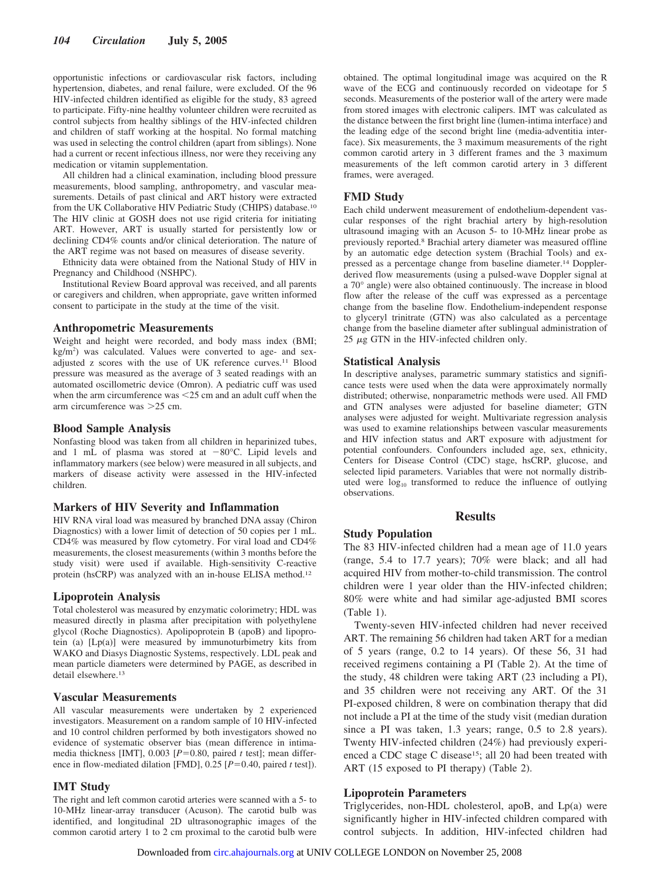opportunistic infections or cardiovascular risk factors, including hypertension, diabetes, and renal failure, were excluded. Of the 96 HIV-infected children identified as eligible for the study, 83 agreed to participate. Fifty-nine healthy volunteer children were recruited as control subjects from healthy siblings of the HIV-infected children and children of staff working at the hospital. No formal matching was used in selecting the control children (apart from siblings). None had a current or recent infectious illness, nor were they receiving any medication or vitamin supplementation.

All children had a clinical examination, including blood pressure measurements, blood sampling, anthropometry, and vascular measurements. Details of past clinical and ART history were extracted from the UK Collaborative HIV Pediatric Study (CHIPS) database.10 The HIV clinic at GOSH does not use rigid criteria for initiating ART. However, ART is usually started for persistently low or declining CD4% counts and/or clinical deterioration. The nature of the ART regime was not based on measures of disease severity.

Ethnicity data were obtained from the National Study of HIV in Pregnancy and Childhood (NSHPC).

Institutional Review Board approval was received, and all parents or caregivers and children, when appropriate, gave written informed consent to participate in the study at the time of the visit.

## **Anthropometric Measurements**

Weight and height were recorded, and body mass index (BMI; kg/m<sup>2</sup>) was calculated. Values were converted to age- and sexadjusted z scores with the use of UK reference curves.11 Blood pressure was measured as the average of 3 seated readings with an automated oscillometric device (Omron). A pediatric cuff was used when the arm circumference was <25 cm and an adult cuff when the arm circumference was 25 cm.

## **Blood Sample Analysis**

Nonfasting blood was taken from all children in heparinized tubes, and 1 mL of plasma was stored at  $-80^{\circ}$ C. Lipid levels and inflammatory markers (see below) were measured in all subjects, and markers of disease activity were assessed in the HIV-infected children.

## **Markers of HIV Severity and Inflammation**

HIV RNA viral load was measured by branched DNA assay (Chiron Diagnostics) with a lower limit of detection of 50 copies per 1 mL. CD4% was measured by flow cytometry. For viral load and CD4% measurements, the closest measurements (within 3 months before the study visit) were used if available. High-sensitivity C-reactive protein (hsCRP) was analyzed with an in-house ELISA method.12

## **Lipoprotein Analysis**

Total cholesterol was measured by enzymatic colorimetry; HDL was measured directly in plasma after precipitation with polyethylene glycol (Roche Diagnostics). Apolipoprotein B (apoB) and lipoprotein (a) [Lp(a)] were measured by immunoturbimetry kits from WAKO and Diasys Diagnostic Systems, respectively. LDL peak and mean particle diameters were determined by PAGE, as described in detail elsewhere.13

## **Vascular Measurements**

All vascular measurements were undertaken by 2 experienced investigators. Measurement on a random sample of 10 HIV-infected and 10 control children performed by both investigators showed no evidence of systematic observer bias (mean difference in intimamedia thickness [IMT], 0.003 [P=0.80, paired *t* test]; mean difference in flow-mediated dilation [FMD], 0.25 [*P*=0.40, paired *t* test]).

## **IMT Study**

The right and left common carotid arteries were scanned with a 5- to 10-MHz linear-array transducer (Acuson). The carotid bulb was identified, and longitudinal 2D ultrasonographic images of the common carotid artery 1 to 2 cm proximal to the carotid bulb were obtained. The optimal longitudinal image was acquired on the R wave of the ECG and continuously recorded on videotape for 5 seconds. Measurements of the posterior wall of the artery were made from stored images with electronic calipers. IMT was calculated as the distance between the first bright line (lumen-intima interface) and the leading edge of the second bright line (media-adventitia interface). Six measurements, the 3 maximum measurements of the right common carotid artery in 3 different frames and the 3 maximum measurements of the left common carotid artery in 3 different frames, were averaged.

## **FMD Study**

Each child underwent measurement of endothelium-dependent vascular responses of the right brachial artery by high-resolution ultrasound imaging with an Acuson 5- to 10-MHz linear probe as previously reported.8 Brachial artery diameter was measured offline by an automatic edge detection system (Brachial Tools) and expressed as a percentage change from baseline diameter.14 Dopplerderived flow measurements (using a pulsed-wave Doppler signal at a 70° angle) were also obtained continuously. The increase in blood flow after the release of the cuff was expressed as a percentage change from the baseline flow. Endothelium-independent response to glyceryl trinitrate (GTN) was also calculated as a percentage change from the baseline diameter after sublingual administration of  $25 \mu g$  GTN in the HIV-infected children only.

## **Statistical Analysis**

In descriptive analyses, parametric summary statistics and significance tests were used when the data were approximately normally distributed; otherwise, nonparametric methods were used. All FMD and GTN analyses were adjusted for baseline diameter; GTN analyses were adjusted for weight. Multivariate regression analysis was used to examine relationships between vascular measurements and HIV infection status and ART exposure with adjustment for potential confounders. Confounders included age, sex, ethnicity, Centers for Disease Control (CDC) stage, hsCRP, glucose, and selected lipid parameters. Variables that were not normally distributed were  $log_{10}$  transformed to reduce the influence of outlying observations.

# **Results**

## **Study Population**

The 83 HIV-infected children had a mean age of 11.0 years (range, 5.4 to 17.7 years); 70% were black; and all had acquired HIV from mother-to-child transmission. The control children were 1 year older than the HIV-infected children; 80% were white and had similar age-adjusted BMI scores (Table 1).

Twenty-seven HIV-infected children had never received ART. The remaining 56 children had taken ART for a median of 5 years (range, 0.2 to 14 years). Of these 56, 31 had received regimens containing a PI (Table 2). At the time of the study, 48 children were taking ART (23 including a PI), and 35 children were not receiving any ART. Of the 31 PI-exposed children, 8 were on combination therapy that did not include a PI at the time of the study visit (median duration since a PI was taken, 1.3 years; range, 0.5 to 2.8 years). Twenty HIV-infected children (24%) had previously experienced a CDC stage C disease<sup>15</sup>; all 20 had been treated with ART (15 exposed to PI therapy) (Table 2).

## **Lipoprotein Parameters**

Triglycerides, non-HDL cholesterol, apoB, and Lp(a) were significantly higher in HIV-infected children compared with control subjects. In addition, HIV-infected children had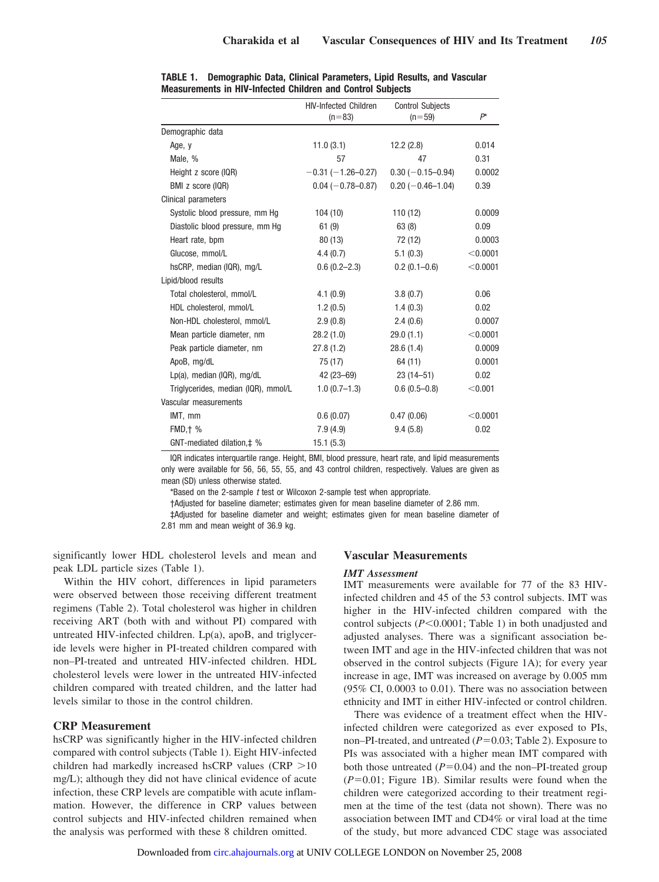|                                     | <b>HIV-Infected Children</b> | <b>Control Subjects</b> |          |
|-------------------------------------|------------------------------|-------------------------|----------|
|                                     | $(n=83)$                     | $(n=59)$                | $P^*$    |
| Demographic data                    |                              |                         |          |
| Age, y                              | 11.0(3.1)                    | 12.2(2.8)               | 0.014    |
| Male, %                             | 57                           | 47                      | 0.31     |
| Height z score (IQR)                | $-0.31(-1.26-0.27)$          | $0.30 (-0.15 - 0.94)$   | 0.0002   |
| BMI z score (IQR)                   | $0.04 (-0.78 - 0.87)$        | $0.20 (-0.46 - 1.04)$   | 0.39     |
| Clinical parameters                 |                              |                         |          |
| Systolic blood pressure, mm Hg      | 104 (10)                     | 110(12)                 | 0.0009   |
| Diastolic blood pressure, mm Hq     | 61 (9)                       | 63(8)                   | 0.09     |
| Heart rate, bpm                     | 80(13)                       | 72 (12)                 | 0.0003   |
| Glucose, mmol/L                     | 4.4(0.7)                     | 5.1(0.3)                | < 0.0001 |
| hsCRP, median (IQR), mg/L           | $0.6(0.2 - 2.3)$             | $0.2(0.1-0.6)$          | < 0.0001 |
| Lipid/blood results                 |                              |                         |          |
| Total cholesterol, mmol/L           | 4.1(0.9)                     | 3.8(0.7)                | 0.06     |
| HDL cholesterol, mmol/L             | 1.2(0.5)                     | 1.4(0.3)                | 0.02     |
| Non-HDL cholesterol, mmol/L         | 2.9(0.8)                     | 2.4(0.6)                | 0.0007   |
| Mean particle diameter, nm          | 28.2(1.0)                    | 29.0(1.1)               | < 0.0001 |
| Peak particle diameter, nm          | 27.8(1.2)                    | 28.6(1.4)               | 0.0009   |
| ApoB, mg/dL                         | 75 (17)                      | 64 (11)                 | 0.0001   |
| Lp(a), median (IQR), mg/dL          | 42 (23-69)                   | $23(14-51)$             | 0.02     |
| Triglycerides, median (IQR), mmol/L | $1.0(0.7-1.3)$               | $0.6(0.5-0.8)$          | < 0.001  |
| Vascular measurements               |                              |                         |          |
| IMT, mm                             | 0.6(0.07)                    | 0.47(0.06)              | < 0.0001 |
| <b>FMD.</b> † %                     | 7.9(4.9)                     | 9.4(5.8)                | 0.02     |
| GNT-mediated dilation, ‡ %          | 15.1(5.3)                    |                         |          |

| TABLE 1. Demographic Data, Clinical Parameters, Lipid Results, and Vascular |  |  |
|-----------------------------------------------------------------------------|--|--|
| <b>Measurements in HIV-Infected Children and Control Subjects</b>           |  |  |

IQR indicates interquartile range. Height, BMI, blood pressure, heart rate, and lipid measurements only were available for 56, 56, 55, 55, and 43 control children, respectively. Values are given as mean (SD) unless otherwise stated.

\*Based on the 2-sample *t* test or Wilcoxon 2-sample test when appropriate.

†Adjusted for baseline diameter; estimates given for mean baseline diameter of 2.86 mm.

‡Adjusted for baseline diameter and weight; estimates given for mean baseline diameter of 2.81 mm and mean weight of 36.9 kg.

significantly lower HDL cholesterol levels and mean and peak LDL particle sizes (Table 1).

Within the HIV cohort, differences in lipid parameters were observed between those receiving different treatment regimens (Table 2). Total cholesterol was higher in children receiving ART (both with and without PI) compared with untreated HIV-infected children. Lp(a), apoB, and triglyceride levels were higher in PI-treated children compared with non–PI-treated and untreated HIV-infected children. HDL cholesterol levels were lower in the untreated HIV-infected children compared with treated children, and the latter had levels similar to those in the control children.

# **CRP Measurement**

hsCRP was significantly higher in the HIV-infected children compared with control subjects (Table 1). Eight HIV-infected children had markedly increased hsCRP values (CRP  $>10$ mg/L); although they did not have clinical evidence of acute infection, these CRP levels are compatible with acute inflammation. However, the difference in CRP values between control subjects and HIV-infected children remained when the analysis was performed with these 8 children omitted.

# **Vascular Measurements**

### *IMT Assessment*

IMT measurements were available for 77 of the 83 HIVinfected children and 45 of the 53 control subjects. IMT was higher in the HIV-infected children compared with the control subjects  $(P<0.0001$ ; Table 1) in both unadjusted and adjusted analyses. There was a significant association between IMT and age in the HIV-infected children that was not observed in the control subjects (Figure 1A); for every year increase in age, IMT was increased on average by 0.005 mm (95% CI, 0.0003 to 0.01). There was no association between ethnicity and IMT in either HIV-infected or control children.

There was evidence of a treatment effect when the HIVinfected children were categorized as ever exposed to PIs, non–PI-treated, and untreated ( $P=0.03$ ; Table 2). Exposure to PIs was associated with a higher mean IMT compared with both those untreated  $(P=0.04)$  and the non–PI-treated group  $(P=0.01;$  Figure 1B). Similar results were found when the children were categorized according to their treatment regimen at the time of the test (data not shown). There was no association between IMT and CD4% or viral load at the time of the study, but more advanced CDC stage was associated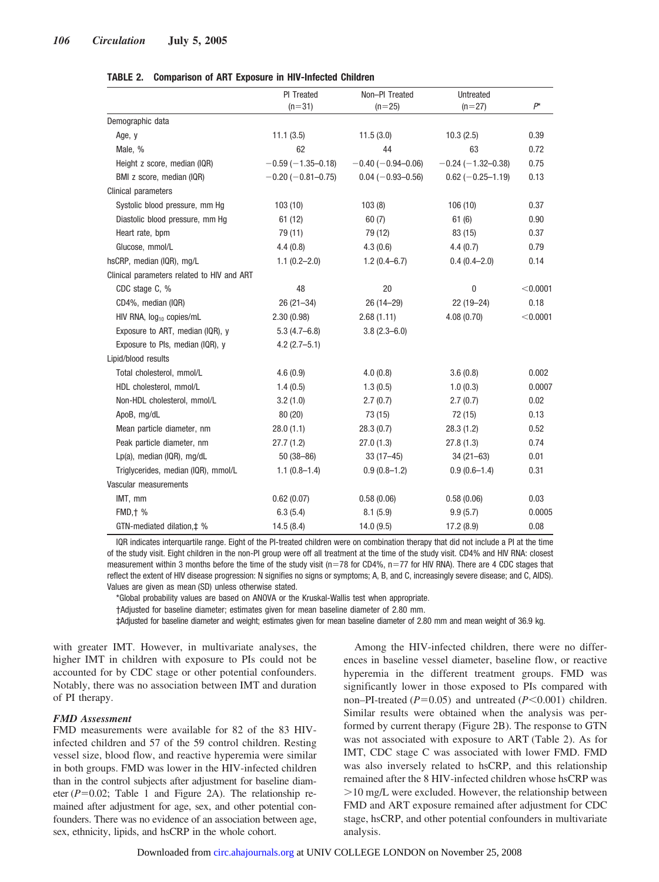|  | TABLE 2. Comparison of ART Exposure in HIV-Infected Children |  |  |  |  |  |
|--|--------------------------------------------------------------|--|--|--|--|--|
|--|--------------------------------------------------------------|--|--|--|--|--|

|                                            | PI Treated                 | Non-PI Treated             | Untreated              |          |
|--------------------------------------------|----------------------------|----------------------------|------------------------|----------|
|                                            | $(n=31)$                   | $(n=25)$                   | $(n=27)$               | $P^*$    |
| Demographic data                           |                            |                            |                        |          |
| Age, y                                     | 11.1(3.5)                  | 11.5(3.0)                  | 10.3(2.5)              | 0.39     |
| Male, %                                    | 62                         | 44                         | 63                     | 0.72     |
| Height z score, median (IQR)               | $-0.59(-1.35-0.18)$        | $-0.40$ ( $-0.94 - 0.06$ ) | $-0.24 (-1.32 - 0.38)$ | 0.75     |
| BMI z score, median (IQR)                  | $-0.20$ ( $-0.81 - 0.75$ ) | $0.04 (-0.93 - 0.56)$      | $0.62$ (-0.25-1.19)    | 0.13     |
| Clinical parameters                        |                            |                            |                        |          |
| Systolic blood pressure, mm Hg             | 103(10)                    | 103(8)                     | 106(10)                | 0.37     |
| Diastolic blood pressure, mm Hg            | 61(12)                     | 60(7)                      | 61(6)                  | 0.90     |
| Heart rate, bpm                            | 79 (11)                    | 79 (12)                    | 83 (15)                | 0.37     |
| Glucose, mmol/L                            | 4.4(0.8)                   | 4.3(0.6)                   | 4.4(0.7)               | 0.79     |
| hsCRP, median (IQR), mg/L                  | $1.1(0.2 - 2.0)$           | $1.2(0.4 - 6.7)$           | $0.4(0.4 - 2.0)$       | 0.14     |
| Clinical parameters related to HIV and ART |                            |                            |                        |          |
| CDC stage C, %                             | 48                         | 20                         | 0                      | < 0.0001 |
| CD4%, median (IQR)                         | $26(21-34)$                | $26(14-29)$                | $22(19 - 24)$          | 0.18     |
| HIV RNA, log <sub>10</sub> copies/mL       | 2.30(0.98)                 | 2.68(1.11)                 | 4.08(0.70)             | < 0.0001 |
| Exposure to ART, median (IQR), y           | $5.3(4.7-6.8)$             | $3.8(2.3 - 6.0)$           |                        |          |
| Exposure to Pls, median (IQR), y           | $4.2(2.7-5.1)$             |                            |                        |          |
| Lipid/blood results                        |                            |                            |                        |          |
| Total cholesterol, mmol/L                  | 4.6(0.9)                   | 4.0(0.8)                   | 3.6(0.8)               | 0.002    |
| HDL cholesterol, mmol/L                    | 1.4(0.5)                   | 1.3(0.5)                   | 1.0(0.3)               | 0.0007   |
| Non-HDL cholesterol, mmol/L                | 3.2(1.0)                   | 2.7(0.7)                   | 2.7(0.7)               | 0.02     |
| ApoB, mg/dL                                | 80(20)                     | 73 (15)                    | 72 (15)                | 0.13     |
| Mean particle diameter, nm                 | 28.0(1.1)                  | 28.3(0.7)                  | 28.3(1.2)              | 0.52     |
| Peak particle diameter, nm                 | 27.7(1.2)                  | 27.0(1.3)                  | 27.8(1.3)              | 0.74     |
| Lp(a), median (IQR), mg/dL                 | $50(38 - 86)$              | $33(17-45)$                | $34(21-63)$            | 0.01     |
| Triglycerides, median (IQR), mmol/L        | $1.1(0.8-1.4)$             | $0.9(0.8-1.2)$             | $0.9(0.6-1.4)$         | 0.31     |
| Vascular measurements                      |                            |                            |                        |          |
| IMT, mm                                    | 0.62(0.07)                 | 0.58(0.06)                 | 0.58(0.06)             | 0.03     |
| <b>FMD.</b> + %                            | 6.3(5.4)                   | 8.1(5.9)                   | 9.9(5.7)               | 0.0005   |
| GTN-mediated dilation, ‡ %                 | 14.5(8.4)                  | 14.0(9.5)                  | 17.2(8.9)              | 0.08     |

IQR indicates interquartile range. Eight of the PI-treated children were on combination therapy that did not include a PI at the time of the study visit. Eight children in the non-PI group were off all treatment at the time of the study visit. CD4% and HIV RNA: closest measurement within 3 months before the time of the study visit ( $n=78$  for CD4%,  $n=77$  for HIV RNA). There are 4 CDC stages that reflect the extent of HIV disease progression: N signifies no signs or symptoms; A, B, and C, increasingly severe disease; and C, AIDS). Values are given as mean (SD) unless otherwise stated.

\*Global probability values are based on ANOVA or the Kruskal-Wallis test when appropriate.

†Adjusted for baseline diameter; estimates given for mean baseline diameter of 2.80 mm.

‡Adjusted for baseline diameter and weight; estimates given for mean baseline diameter of 2.80 mm and mean weight of 36.9 kg.

with greater IMT. However, in multivariate analyses, the higher IMT in children with exposure to PIs could not be accounted for by CDC stage or other potential confounders. Notably, there was no association between IMT and duration of PI therapy.

#### *FMD Assessment*

FMD measurements were available for 82 of the 83 HIVinfected children and 57 of the 59 control children. Resting vessel size, blood flow, and reactive hyperemia were similar in both groups. FMD was lower in the HIV-infected children than in the control subjects after adjustment for baseline diameter  $(P=0.02;$  Table 1 and Figure 2A). The relationship remained after adjustment for age, sex, and other potential confounders. There was no evidence of an association between age, sex, ethnicity, lipids, and hsCRP in the whole cohort.

Among the HIV-infected children, there were no differences in baseline vessel diameter, baseline flow, or reactive hyperemia in the different treatment groups. FMD was significantly lower in those exposed to PIs compared with non–PI-treated  $(P=0.05)$  and untreated  $(P<0.001)$  children. Similar results were obtained when the analysis was performed by current therapy (Figure 2B). The response to GTN was not associated with exposure to ART (Table 2). As for IMT, CDC stage C was associated with lower FMD. FMD was also inversely related to hsCRP, and this relationship remained after the 8 HIV-infected children whose hsCRP was  $>10$  mg/L were excluded. However, the relationship between FMD and ART exposure remained after adjustment for CDC stage, hsCRP, and other potential confounders in multivariate analysis.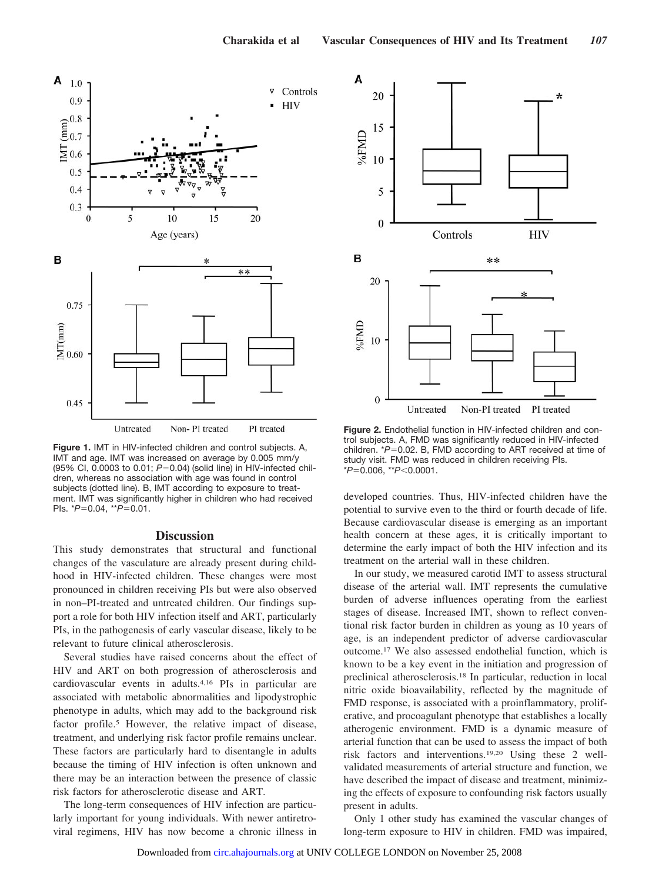

**Figure 1.** IMT in HIV-infected children and control subjects. A, IMT and age. IMT was increased on average by 0.005 mm/y (95% CI, 0.0003 to 0.01;  $P=0.04$ ) (solid line) in HIV-infected children, whereas no association with age was found in control subjects (dotted line). B, IMT according to exposure to treatment. IMT was significantly higher in children who had received PIs. \**P*-0.04, \*\**P*-0.01.

## **Discussion**

This study demonstrates that structural and functional changes of the vasculature are already present during childhood in HIV-infected children. These changes were most pronounced in children receiving PIs but were also observed in non–PI-treated and untreated children. Our findings support a role for both HIV infection itself and ART, particularly PIs, in the pathogenesis of early vascular disease, likely to be relevant to future clinical atherosclerosis.

Several studies have raised concerns about the effect of HIV and ART on both progression of atherosclerosis and cardiovascular events in adults.4,16 PIs in particular are associated with metabolic abnormalities and lipodystrophic phenotype in adults, which may add to the background risk factor profile.<sup>5</sup> However, the relative impact of disease, treatment, and underlying risk factor profile remains unclear. These factors are particularly hard to disentangle in adults because the timing of HIV infection is often unknown and there may be an interaction between the presence of classic risk factors for atherosclerotic disease and ART.

The long-term consequences of HIV infection are particularly important for young individuals. With newer antiretroviral regimens, HIV has now become a chronic illness in



**Figure 2.** Endothelial function in HIV-infected children and control subjects. A, FMD was significantly reduced in HIV-infected children. \**P*-0.02. B, FMD according to ART received at time of study visit. FMD was reduced in children receiving PIs. \**P*-0.006, \*\**P*0.0001.

developed countries. Thus, HIV-infected children have the potential to survive even to the third or fourth decade of life. Because cardiovascular disease is emerging as an important health concern at these ages, it is critically important to determine the early impact of both the HIV infection and its treatment on the arterial wall in these children.

In our study, we measured carotid IMT to assess structural disease of the arterial wall. IMT represents the cumulative burden of adverse influences operating from the earliest stages of disease. Increased IMT, shown to reflect conventional risk factor burden in children as young as 10 years of age, is an independent predictor of adverse cardiovascular outcome.17 We also assessed endothelial function, which is known to be a key event in the initiation and progression of preclinical atherosclerosis.18 In particular, reduction in local nitric oxide bioavailability, reflected by the magnitude of FMD response, is associated with a proinflammatory, proliferative, and procoagulant phenotype that establishes a locally atherogenic environment. FMD is a dynamic measure of arterial function that can be used to assess the impact of both risk factors and interventions.19,20 Using these 2 wellvalidated measurements of arterial structure and function, we have described the impact of disease and treatment, minimizing the effects of exposure to confounding risk factors usually present in adults.

Only 1 other study has examined the vascular changes of long-term exposure to HIV in children. FMD was impaired,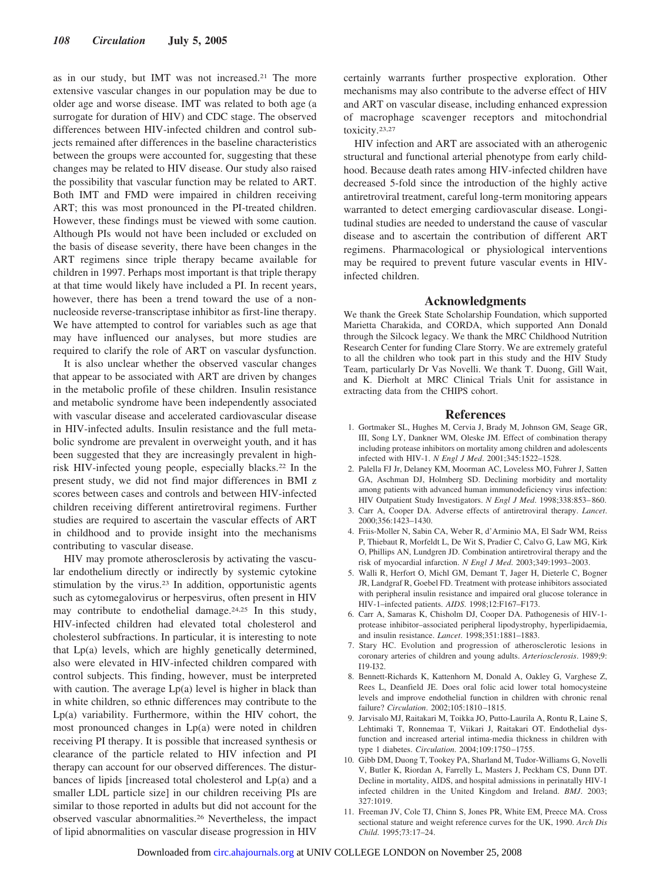as in our study, but IMT was not increased.21 The more extensive vascular changes in our population may be due to older age and worse disease. IMT was related to both age (a surrogate for duration of HIV) and CDC stage. The observed differences between HIV-infected children and control subjects remained after differences in the baseline characteristics between the groups were accounted for, suggesting that these changes may be related to HIV disease. Our study also raised the possibility that vascular function may be related to ART. Both IMT and FMD were impaired in children receiving ART; this was most pronounced in the PI-treated children. However, these findings must be viewed with some caution. Although PIs would not have been included or excluded on the basis of disease severity, there have been changes in the ART regimens since triple therapy became available for children in 1997. Perhaps most important is that triple therapy at that time would likely have included a PI. In recent years, however, there has been a trend toward the use of a nonnucleoside reverse-transcriptase inhibitor as first-line therapy. We have attempted to control for variables such as age that may have influenced our analyses, but more studies are required to clarify the role of ART on vascular dysfunction.

It is also unclear whether the observed vascular changes that appear to be associated with ART are driven by changes in the metabolic profile of these children. Insulin resistance and metabolic syndrome have been independently associated with vascular disease and accelerated cardiovascular disease in HIV-infected adults. Insulin resistance and the full metabolic syndrome are prevalent in overweight youth, and it has been suggested that they are increasingly prevalent in highrisk HIV-infected young people, especially blacks.22 In the present study, we did not find major differences in BMI z scores between cases and controls and between HIV-infected children receiving different antiretroviral regimens. Further studies are required to ascertain the vascular effects of ART in childhood and to provide insight into the mechanisms contributing to vascular disease.

HIV may promote atherosclerosis by activating the vascular endothelium directly or indirectly by systemic cytokine stimulation by the virus.23 In addition, opportunistic agents such as cytomegalovirus or herpesvirus, often present in HIV may contribute to endothelial damage.24,25 In this study, HIV-infected children had elevated total cholesterol and cholesterol subfractions. In particular, it is interesting to note that Lp(a) levels, which are highly genetically determined, also were elevated in HIV-infected children compared with control subjects. This finding, however, must be interpreted with caution. The average  $Lp(a)$  level is higher in black than in white children, so ethnic differences may contribute to the Lp(a) variability. Furthermore, within the HIV cohort, the most pronounced changes in Lp(a) were noted in children receiving PI therapy. It is possible that increased synthesis or clearance of the particle related to HIV infection and PI therapy can account for our observed differences. The disturbances of lipids [increased total cholesterol and Lp(a) and a smaller LDL particle size] in our children receiving PIs are similar to those reported in adults but did not account for the observed vascular abnormalities.26 Nevertheless, the impact of lipid abnormalities on vascular disease progression in HIV

certainly warrants further prospective exploration. Other mechanisms may also contribute to the adverse effect of HIV and ART on vascular disease, including enhanced expression of macrophage scavenger receptors and mitochondrial toxicity.23,27

HIV infection and ART are associated with an atherogenic structural and functional arterial phenotype from early childhood. Because death rates among HIV-infected children have decreased 5-fold since the introduction of the highly active antiretroviral treatment, careful long-term monitoring appears warranted to detect emerging cardiovascular disease. Longitudinal studies are needed to understand the cause of vascular disease and to ascertain the contribution of different ART regimens. Pharmacological or physiological interventions may be required to prevent future vascular events in HIVinfected children.

## **Acknowledgments**

We thank the Greek State Scholarship Foundation, which supported Marietta Charakida, and CORDA, which supported Ann Donald through the Silcock legacy. We thank the MRC Childhood Nutrition Research Center for funding Clare Storry. We are extremely grateful to all the children who took part in this study and the HIV Study Team, particularly Dr Vas Novelli. We thank T. Duong, Gill Wait, and K. Dierholt at MRC Clinical Trials Unit for assistance in extracting data from the CHIPS cohort.

## **References**

- 1. Gortmaker SL, Hughes M, Cervia J, Brady M, Johnson GM, Seage GR, III, Song LY, Dankner WM, Oleske JM. Effect of combination therapy including protease inhibitors on mortality among children and adolescents infected with HIV-1. *N Engl J Med*. 2001;345:1522–1528.
- 2. Palella FJ Jr, Delaney KM, Moorman AC, Loveless MO, Fuhrer J, Satten GA, Aschman DJ, Holmberg SD. Declining morbidity and mortality among patients with advanced human immunodeficiency virus infection: HIV Outpatient Study Investigators. *N Engl J Med*. 1998;338:853– 860.
- 3. Carr A, Cooper DA. Adverse effects of antiretroviral therapy. *Lancet*. 2000;356:1423–1430.
- 4. Friis-Moller N, Sabin CA, Weber R, d'Arminio MA, El Sadr WM, Reiss P, Thiebaut R, Morfeldt L, De Wit S, Pradier C, Calvo G, Law MG, Kirk O, Phillips AN, Lundgren JD. Combination antiretroviral therapy and the risk of myocardial infarction. *N Engl J Med*. 2003;349:1993–2003.
- 5. Walli R, Herfort O, Michl GM, Demant T, Jager H, Dieterle C, Bogner JR, Landgraf R, Goebel FD. Treatment with protease inhibitors associated with peripheral insulin resistance and impaired oral glucose tolerance in HIV-1–infected patients. *AIDS*. 1998;12:F167–F173.
- 6. Carr A, Samaras K, Chisholm DJ, Cooper DA. Pathogenesis of HIV-1 protease inhibitor–associated peripheral lipodystrophy, hyperlipidaemia, and insulin resistance. *Lancet*. 1998;351:1881–1883.
- 7. Stary HC. Evolution and progression of atherosclerotic lesions in coronary arteries of children and young adults. *Arteriosclerosis*. 1989;9: I19-I32.
- 8. Bennett-Richards K, Kattenhorn M, Donald A, Oakley G, Varghese Z, Rees L, Deanfield JE. Does oral folic acid lower total homocysteine levels and improve endothelial function in children with chronic renal failure? *Circulation*. 2002;105:1810 –1815.
- 9. Jarvisalo MJ, Raitakari M, Toikka JO, Putto-Laurila A, Rontu R, Laine S, Lehtimaki T, Ronnemaa T, Viikari J, Raitakari OT. Endothelial dysfunction and increased arterial intima-media thickness in children with type 1 diabetes. *Circulation*. 2004;109:1750 –1755.
- 10. Gibb DM, Duong T, Tookey PA, Sharland M, Tudor-Williams G, Novelli V, Butler K, Riordan A, Farrelly L, Masters J, Peckham CS, Dunn DT. Decline in mortality, AIDS, and hospital admissions in perinatally HIV-1 infected children in the United Kingdom and Ireland. *BMJ*. 2003; 327:1019.
- 11. Freeman JV, Cole TJ, Chinn S, Jones PR, White EM, Preece MA. Cross sectional stature and weight reference curves for the UK, 1990. *Arch Dis Child*. 1995;73:17–24.